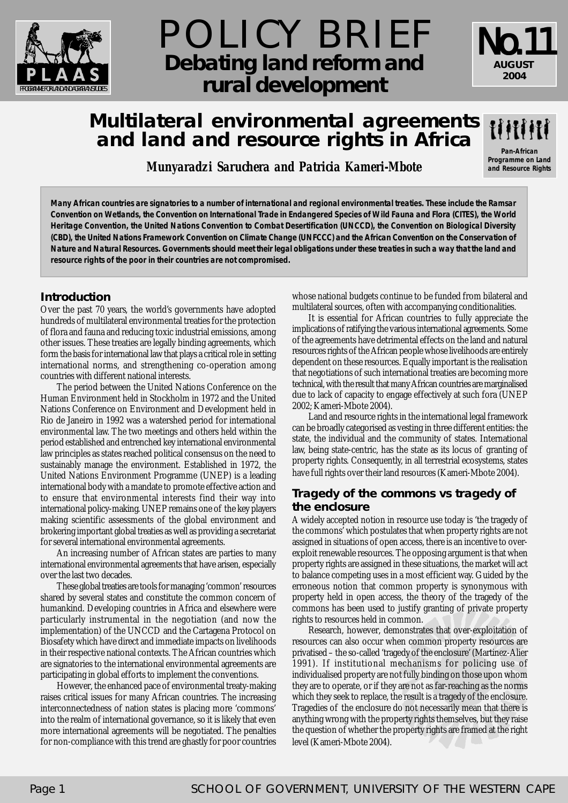

# POLICY BRIEF **Debating land reform and** rural development

# **Multilateral environmental agreements and land and resource rights in Africa**

**Pan-African Programme on Land and Resource Rights**

No.11

**AUGUST 2004**

*Munyaradzi Saruchera and Patricia Kameri-Mbote*

**Many African countries are signatories to a number of international and regional environmental treaties. These include the Ramsar Convention on Wetlands, the Convention on International Trade in Endangered Species of Wild Fauna and Flora (CITES), the World Heritage Convention, the United Nations Convention to Combat Desertification (UNCCD), the Convention on Biological Diversity (CBD), the United Nations Framework Convention on Climate Change (UNFCCC) and the African Convention on the Conservation of Nature and Natural Resources. Governments should meet their legal obligations under these treaties in such a way that the land and resource rights of the poor in their countries are not compromised.**

# **Introduction**

Over the past 70 years, the world's governments have adopted hundreds of multilateral environmental treaties for the protection of flora and fauna and reducing toxic industrial emissions, among other issues. These treaties are legally binding agreements, which form the basis for international law that plays a critical role in setting international norms, and strengthening co-operation among countries with different national interests.

The period between the United Nations Conference on the Human Environment held in Stockholm in 1972 and the United Nations Conference on Environment and Development held in Rio de Janeiro in 1992 was a watershed period for international environmental law. The two meetings and others held within the period established and entrenched key international environmental law principles as states reached political consensus on the need to sustainably manage the environment. Established in 1972, the United Nations Environment Programme (UNEP) is a leading international body with a mandate to promote effective action and to ensure that environmental interests find their way into international policy-making. UNEP remains one of the key players making scientific assessments of the global environment and brokering important global treaties as well as providing a secretariat for several international environmental agreements.

An increasing number of African states are parties to many international environmental agreements that have arisen, especially over the last two decades.

These global treaties are tools for managing 'common' resources shared by several states and constitute the common concern of humankind. Developing countries in Africa and elsewhere were particularly instrumental in the negotiation (and now the implementation) of the UNCCD and the Cartagena Protocol on Biosafety which have direct and immediate impacts on livelihoods in their respective national contexts. The African countries which are signatories to the international environmental agreements are participating in global efforts to implement the conventions.

However, the enhanced pace of environmental treaty-making raises critical issues for many African countries. The increasing interconnectedness of nation states is placing more 'commons' into the realm of international governance, so it is likely that even more international agreements will be negotiated. The penalties for non-compliance with this trend are ghastly for poor countries whose national budgets continue to be funded from bilateral and multilateral sources, often with accompanying conditionalities.

It is essential for African countries to fully appreciate the implications of ratifying the various international agreements. Some of the agreements have detrimental effects on the land and natural resources rights of the African people whose livelihoods are entirely dependent on these resources. Equally important is the realisation that negotiations of such international treaties are becoming more technical, with the result that many African countries are marginalised due to lack of capacity to engage effectively at such fora (UNEP 2002; Kameri-Mbote 2004).

Land and resource rights in the international legal framework can be broadly categorised as vesting in three different entities: the state, the individual and the community of states. International law, being state-centric, has the state as its locus of granting of property rights. Consequently, in all terrestrial ecosystems, states have full rights over their land resources (Kameri-Mbote 2004).

# **Tragedy of the commons vs tragedy of the enclosure**

A widely accepted notion in resource use today is 'the tragedy of the commons' which postulates that when property rights are not assigned in situations of open access, there is an incentive to overexploit renewable resources. The opposing argument is that when property rights are assigned in these situations, the market will act to balance competing uses in a most efficient way. Guided by the erroneous notion that common property is synonymous with property held in open access, the theory of the tragedy of the commons has been used to justify granting of private property rights to resources held in common.

Research, however, demonstrates that over-exploitation of resources can also occur when common property resources are privatised – the so-called 'tragedy of the enclosure' (Martinez-Alier 1991). If institutional mechanisms for policing use of individualised property are not fully binding on those upon whom they are to operate, or if they are not as far-reaching as the norms which they seek to replace, the result is a tragedy of the enclosure. Tragedies of the enclosure do not necessarily mean that there is anything wrong with the property rights themselves, but they raise the question of whether the property rights are framed at the right level (Kameri-Mbote 2004).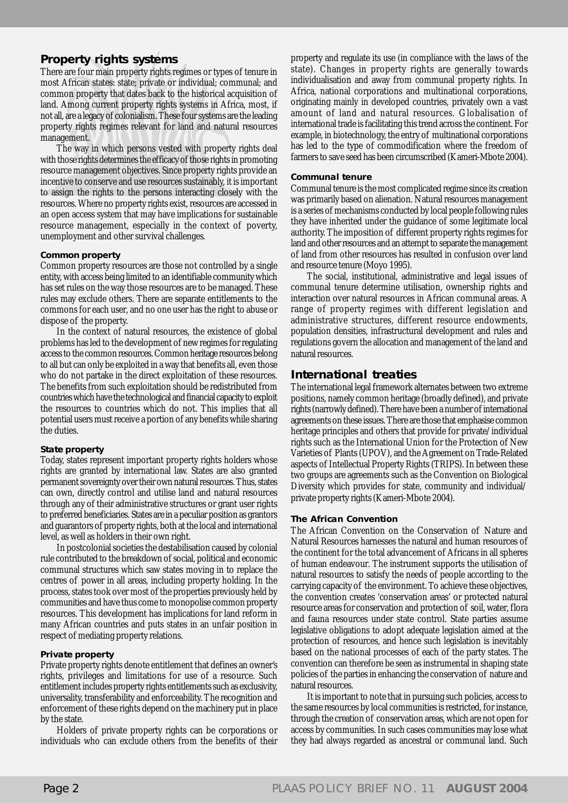### **Property rights systems**

There are four main property rights regimes or types of tenure in most African states: state; private or individual; communal; and common property that dates back to the historical acquisition of land. Among current property rights systems in Africa, most, if not all, are a legacy of colonialism. These four systems are the leading property rights regimes relevant for land and natural resources management.

The way in which persons vested with property rights deal with those rights determines the efficacy of those rights in promoting resource management objectives. Since property rights provide an incentive to conserve and use resources sustainably, it is important to assign the rights to the persons interacting closely with the resources. Where no property rights exist, resources are accessed in an open access system that may have implications for sustainable resource management, especially in the context of poverty, unemployment and other survival challenges.

#### **Common property**

Common property resources are those not controlled by a single entity, with access being limited to an identifiable community which has set rules on the way those resources are to be managed. These rules may exclude others. There are separate entitlements to the commons for each user, and no one user has the right to abuse or dispose of the property.

In the context of natural resources, the existence of global problems has led to the development of new regimes for regulating access to the common resources. Common heritage resources belong to all but can only be exploited in a way that benefits all, even those who do not partake in the direct exploitation of these resources. The benefits from such exploitation should be redistributed from countries which have the technological and financial capacity to exploit the resources to countries which do not. This implies that all potential users must receive a portion of any benefits while sharing the duties.

#### **State property**

Today, states represent important property rights holders whose rights are granted by international law. States are also granted permanent sovereignty over their own natural resources. Thus, states can own, directly control and utilise land and natural resources through any of their administrative structures or grant user rights to preferred beneficiaries. States are in a peculiar position as grantors and guarantors of property rights, both at the local and international level, as well as holders in their own right.

In postcolonial societies the destabilisation caused by colonial rule contributed to the breakdown of social, political and economic communal structures which saw states moving in to replace the centres of power in all areas, including property holding. In the process, states took over most of the properties previously held by communities and have thus come to monopolise common property resources. This development has implications for land reform in many African countries and puts states in an unfair position in respect of mediating property relations.

#### **Private property**

Private property rights denote entitlement that defines an owner's rights, privileges and limitations for use of a resource. Such entitlement includes property rights entitlements such as exclusivity, universality, transferability and enforceability. The recognition and enforcement of these rights depend on the machinery put in place by the state.

Holders of private property rights can be corporations or individuals who can exclude others from the benefits of their

property and regulate its use (in compliance with the laws of the state). Changes in property rights are generally towards individualisation and away from communal property rights. In Africa, national corporations and multinational corporations, originating mainly in developed countries, privately own a vast amount of land and natural resources. Globalisation of international trade is facilitating this trend across the continent. For example, in biotechnology, the entry of multinational corporations has led to the type of commodification where the freedom of farmers to save seed has been circumscribed (Kameri-Mbote 2004).

#### **Communal tenure**

Communal tenure is the most complicated regime since its creation was primarily based on alienation. Natural resources management is a series of mechanisms conducted by local people following rules they have inherited under the guidance of some legitimate local authority. The imposition of different property rights regimes for land and other resources and an attempt to separate the management of land from other resources has resulted in confusion over land and resource tenure (Moyo 1995).

The social, institutional, administrative and legal issues of communal tenure determine utilisation, ownership rights and interaction over natural resources in African communal areas. A range of property regimes with different legislation and administrative structures, different resource endowments, population densities, infrastructural development and rules and regulations govern the allocation and management of the land and natural resources.

## **International treaties**

The international legal framework alternates between two extreme positions, namely common heritage (broadly defined), and private rights (narrowly defined). There have been a number of international agreements on these issues. There are those that emphasise common heritage principles and others that provide for private/individual rights such as the International Union for the Protection of New Varieties of Plants (UPOV), and the Agreement on Trade-Related aspects of Intellectual Property Rights (TRIPS). In between these two groups are agreements such as the Convention on Biological Diversity which provides for state, community and individual/ private property rights (Kameri-Mbote 2004).

#### **The African Convention**

The African Convention on the Conservation of Nature and Natural Resources harnesses the natural and human resources of the continent for the total advancement of Africans in all spheres of human endeavour. The instrument supports the utilisation of natural resources to satisfy the needs of people according to the carrying capacity of the environment. To achieve these objectives, the convention creates 'conservation areas' or protected natural resource areas for conservation and protection of soil, water, flora and fauna resources under state control. State parties assume legislative obligations to adopt adequate legislation aimed at the protection of resources, and hence such legislation is inevitably based on the national processes of each of the party states. The convention can therefore be seen as instrumental in shaping state policies of the parties in enhancing the conservation of nature and natural resources.

It is important to note that in pursuing such policies, access to the same resources by local communities is restricted, for instance, through the creation of conservation areas, which are not open for access by communities. In such cases communities may lose what they had always regarded as ancestral or communal land. Such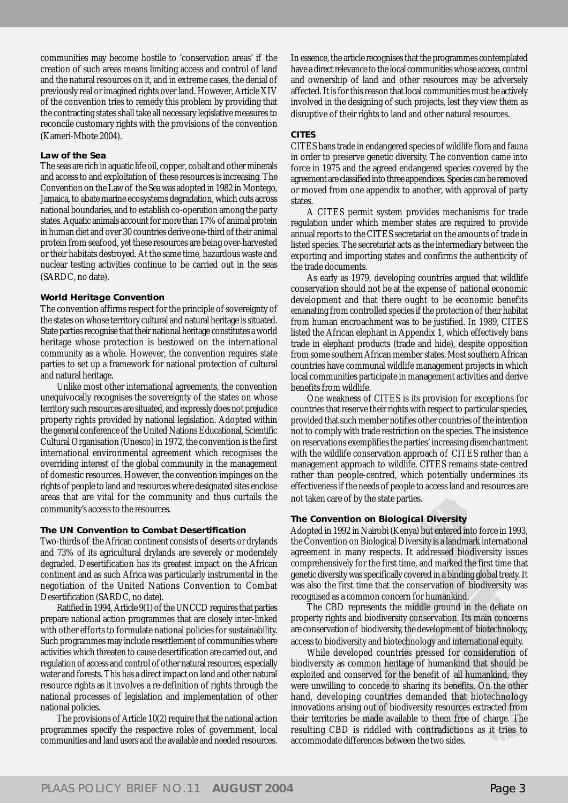communities may become hostile to 'conservation areas' if the creation of such areas means limiting access and control of land and the natural resources on it, and in extreme cases, the denial of previously real or imagined rights over land. However, Article XIV of the convention tries to remedy this problem by providing that the contracting states shall take all necessary legislative measures to reconcile customary rights with the provisions of the convention (Kameri-Mbote 2004).

#### **Law of the Sea**

The seas are rich in aquatic life oil, copper, cobalt and other minerals and access to and exploitation of these resources is increasing. The Convention on the Law of the Sea was adopted in 1982 in Montego, Jamaica, to abate marine ecosystems degradation, which cuts across national boundaries, and to establish co-operation among the party states. Aquatic animals account for more than 17% of animal protein in human diet and over 30 countries derive one-third of their animal protein from seafood, yet these resources are being over-harvested or their habitats destroyed. At the same time, hazardous waste and nuclear testing activities continue to be carried out in the seas (SARDC, no date).

#### **World Heritage Convention**

The convention affirms respect for the principle of sovereignty of the states on whose territory cultural and natural heritage is situated. State parties recognise that their national heritage constitutes a world heritage whose protection is bestowed on the international community as a whole. However, the convention requires state parties to set up a framework for national protection of cultural and natural heritage.

Unlike most other international agreements, the convention unequivocally recognises the sovereignty of the states on whose territory such resources are situated, and expressly does not prejudice property rights provided by national legislation. Adopted within the general conference of the United Nations Educational, Scientific Cultural Organisation (Unesco) in 1972, the convention is the first international environmental agreement which recognises the overriding interest of the global community in the management of domestic resources. However, the convention impinges on the rights of people to land and resources where designated sites enclose areas that are vital for the community and thus curtails the community's access to the resources.

#### **The UN Convention to Combat Desertification**

Two-thirds of the African continent consists of deserts or drylands and 73% of its agricultural drylands are severely or moderately degraded. Desertification has its greatest impact on the African continent and as such Africa was particularly instrumental in the negotiation of the United Nations Convention to Combat Desertification (SARDC, no date).

Ratified in 1994, Article 9(1) of the UNCCD requires that parties prepare national action programmes that are closely inter-linked with other efforts to formulate national policies for sustainability. Such programmes may include resettlement of communities where activities which threaten to cause desertification are carried out, and regulation of access and control of other natural resources, especially water and forests. This has a direct impact on land and other natural resource rights as it involves a re-definition of rights through the national processes of legislation and implementation of other national policies.

The provisions of Article 10(2) require that the national action programmes specify the respective roles of government, local communities and land users and the available and needed resources. In essence, the article recognises that the programmes contemplated have a direct relevance to the local communities whose access, control and ownership of land and other resources may be adversely affected. It is for this reason that local communities must be actively involved in the designing of such projects, lest they view them as disruptive of their rights to land and other natural resources.

#### **CITES**

CITES bans trade in endangered species of wildlife flora and fauna in order to preserve genetic diversity. The convention came into force in 1975 and the agreed endangered species covered by the agreement are classified into three appendices. Species can be removed or moved from one appendix to another, with approval of party states.

A CITES permit system provides mechanisms for trade regulation under which member states are required to provide annual reports to the CITES secretariat on the amounts of trade in listed species. The secretariat acts as the intermediary between the exporting and importing states and confirms the authenticity of the trade documents.

As early as 1979, developing countries argued that wildlife conservation should not be at the expense of national economic development and that there ought to be economic benefits emanating from controlled species if the protection of their habitat from human encroachment was to be justified. In 1989, CITES listed the African elephant in Appendix 1, which effectively bans trade in elephant products (trade and hide), despite opposition from some southern African member states. Most southern African countries have communal wildlife management projects in which local communities participate in management activities and derive benefits from wildlife.

One weakness of CITES is its provision for exceptions for countries that reserve their rights with respect to particular species, provided that such member notifies other countries of the intention not to comply with trade restriction on the species. The insistence on reservations exemplifies the parties' increasing disenchantment with the wildlife conservation approach of CITES rather than a management approach to wildlife. CITES remains state-centred rather than people-centred, which potentially undermines its effectiveness if the needs of people to access land and resources are not taken care of by the state parties.

#### **The Convention on Biological Diversity**

Adopted in 1992 in Nairobi (Kenya) but entered into force in 1993, the Convention on Biological Diversity is a landmark international agreement in many respects. It addressed biodiversity issues comprehensively for the first time, and marked the first time that genetic diversity was specifically covered in a binding global treaty. It was also the first time that the conservation of biodiversity was recognised as a common concern for humankind.

The CBD represents the middle ground in the debate on property rights and biodiversity conservation. Its main concerns are conservation of biodiversity, the development of biotechnology, access to biodiversity and biotechnology and international equity.

While developed countries pressed for consideration of biodiversity as common heritage of humankind that should be exploited and conserved for the benefit of all humankind, they were unwilling to concede to sharing its benefits. On the other hand, developing countries demanded that biotechnology innovations arising out of biodiversity resources extracted from their territories be made available to them free of charge. The resulting CBD is riddled with contradictions as it tries to accommodate differences between the two sides.